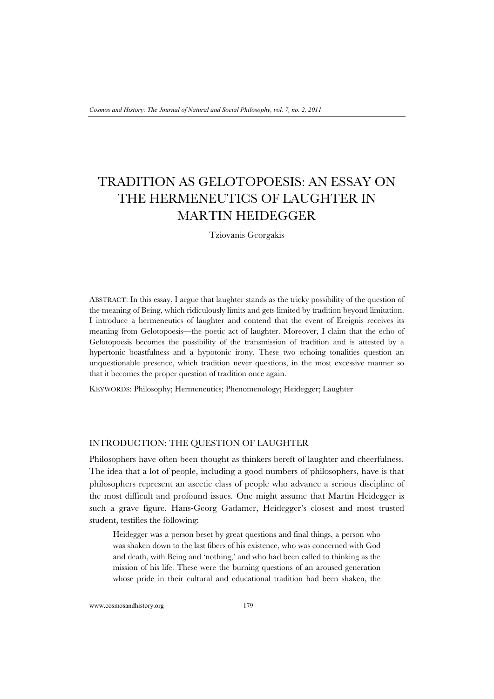# TRADITION AS GELOTOPOESIS: AN ESSAY ON THE HERMENEUTICS OF LAUGHTER IN MARTIN HEIDEGGER

Tziovanis Georgakis

ABSTRACT: In this essay, I argue that laughter stands as the tricky possibility of the question of the meaning of Being, which ridiculously limits and gets limited by tradition beyond limitation. I introduce a hermeneutics of laughter and contend that the event of Ereignis receives its meaning from Gelotopoesis—the poetic act of laughter. Moreover, I claim that the echo of Gelotopoesis becomes the possibility of the transmission of tradition and is attested by a hypertonic boastfulness and a hypotonic irony. These two echoing tonalities question an unquestionable presence, which tradition never questions, in the most excessive manner so that it becomes the proper question of tradition once again.

KEYWORDS: Philosophy; Hermeneutics; Phenomenology; Heidegger; Laughter

# INTRODUCTION: THE QUESTION OF LAUGHTER

Philosophers have often been thought as thinkers bereft of laughter and cheerfulness. The idea that a lot of people, including a good numbers of philosophers, have is that philosophers represent an ascetic class of people who advance a serious discipline of the most difficult and profound issues. One might assume that Martin Heidegger is such a grave figure. Hans-Georg Gadamer, Heidegger's closest and most trusted student, testifies the following:

Heidegger was a person beset by great questions and final things, a person who was shaken down to the last fibers of his existence, who was concerned with God and death, with Being and 'nothing,' and who had been called to thinking as the mission of his life. These were the burning questions of an aroused generation whose pride in their cultural and educational tradition had been shaken, the

www.cosmosandhistory.org 179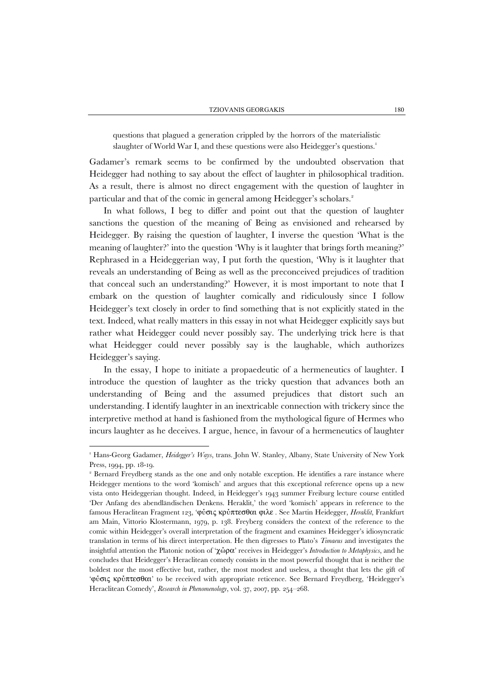questions that plagued a generation crippled by the horrors of the materialistic slaughter of World War I, and these questions were also Heidegger's questions.<sup>1</sup>

Gadamer's remark seems to be confirmed by the undoubted observation that Heidegger had nothing to say about the effect of laughter in philosophical tradition. As a result, there is almost no direct engagement with the question of laughter in particular and that of the comic in general among Heidegger's scholars.<sup>2</sup>

In what follows, I beg to differ and point out that the question of laughter sanctions the question of the meaning of Being as envisioned and rehearsed by Heidegger. By raising the question of laughter, I inverse the question 'What is the meaning of laughter?' into the question 'Why is it laughter that brings forth meaning?' Rephrased in a Heideggerian way, I put forth the question, 'Why is it laughter that reveals an understanding of Being as well as the preconceived prejudices of tradition that conceal such an understanding?' However, it is most important to note that I embark on the question of laughter comically and ridiculously since I follow Heidegger's text closely in order to find something that is not explicitly stated in the text. Indeed, what really matters in this essay in not what Heidegger explicitly says but rather what Heidegger could never possibly say. The underlying trick here is that what Heidegger could never possibly say is the laughable, which authorizes Heidegger's saying.

In the essay, I hope to initiate a propaedeutic of a hermeneutics of laughter. I introduce the question of laughter as the tricky question that advances both an understanding of Being and the assumed prejudices that distort such an understanding. I identify laughter in an inextricable connection with trickery since the interpretive method at hand is fashioned from the mythological figure of Hermes who incurs laughter as he deceives. I argue, hence, in favour of a hermeneutics of laughter

<sup>1</sup> Hans-Georg Gadamer, *Heidegger's Ways*, trans. John W. Stanley, Albany, State University of New York Press, 1994, pp. 18-19.

<sup>&</sup>lt;sup>2</sup> Bernard Freydberg stands as the one and only notable exception. He identifies a rare instance where Heidegger mentions to the word 'komisch' and argues that this exceptional reference opens up a new vista onto Heideggerian thought. Indeed, in Heidegger's 1943 summer Freiburg lecture course entitled 'Der Anfang des abendländischen Denkens. Heraklit,' the word 'komisch' appears in reference to the famous Heraclitean Fragment 123, 'φύσις κρύπτεσθαι φιλε . See Martin Heidegger, *Heraklit*, Frankfurt am Main, Vittorio Klostermann, 1979, p. 138. Freyberg considers the context of the reference to the comic within Heidegger's overall interpretation of the fragment and examines Heidegger's idiosyncratic translation in terms of his direct interpretation. He then digresses to Plato's *Timaeus* and investigates the insightful attention the Platonic notion of 'χώρα' receives in Heidegger's *Introduction to Metaphysics*, and he concludes that Heidegger's Heraclitean comedy consists in the most powerful thought that is neither the boldest nor the most effective but, rather, the most modest and useless, a thought that lets the gift of 'φύσις κρύπτεσθαι' to be received with appropriate reticence. See Bernard Freydberg, 'Heidegger's Heraclitean Comedy', *Research in Phenomenology*, vol. 37, 2007, pp. 254–268.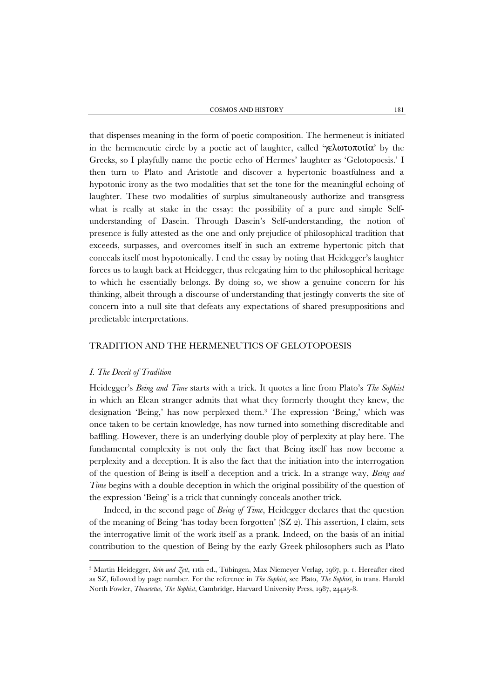that dispenses meaning in the form of poetic composition. The hermeneut is initiated in the hermeneutic circle by a poetic act of laughter, called 'γελωτοποιία' by the Greeks, so I playfully name the poetic echo of Hermes' laughter as 'Gelotopoesis.' I then turn to Plato and Aristotle and discover a hypertonic boastfulness and a hypotonic irony as the two modalities that set the tone for the meaningful echoing of laughter. These two modalities of surplus simultaneously authorize and transgress what is really at stake in the essay: the possibility of a pure and simple Selfunderstanding of Dasein. Through Dasein's Self-understanding, the notion of presence is fully attested as the one and only prejudice of philosophical tradition that exceeds, surpasses, and overcomes itself in such an extreme hypertonic pitch that conceals itself most hypotonically. I end the essay by noting that Heidegger's laughter forces us to laugh back at Heidegger, thus relegating him to the philosophical heritage to which he essentially belongs. By doing so, we show a genuine concern for his thinking, albeit through a discourse of understanding that jestingly converts the site of concern into a null site that defeats any expectations of shared presuppositions and predictable interpretations.

# TRADITION AND THE HERMENEUTICS OF GELOTOPOESIS

# *I. The Deceit of Tradition*

l

Heidegger's *Being and Time* starts with a trick. It quotes a line from Plato's *The Sophist* in which an Elean stranger admits that what they formerly thought they knew, the designation 'Being,' has now perplexed them.<sup>3</sup> The expression 'Being,' which was once taken to be certain knowledge, has now turned into something discreditable and baffling. However, there is an underlying double ploy of perplexity at play here. The fundamental complexity is not only the fact that Being itself has now become a perplexity and a deception. It is also the fact that the initiation into the interrogation of the question of Being is itself a deception and a trick. In a strange way, *Being and Time* begins with a double deception in which the original possibility of the question of the expression 'Being' is a trick that cunningly conceals another trick.

Indeed, in the second page of *Being of Time*, Heidegger declares that the question of the meaning of Being 'has today been forgotten' (SZ 2). This assertion, I claim, sets the interrogative limit of the work itself as a prank. Indeed, on the basis of an initial contribution to the question of Being by the early Greek philosophers such as Plato

<sup>3</sup> Martin Heidegger, *Sein und Zeit*, 11th ed., Tübingen, Max Niemeyer Verlag, 1967, p. 1. Hereafter cited as SZ, followed by page number. For the reference in *The Sophist*, see Plato, *The Sophist*, in trans. Harold North Fowler, *Theaetetus, The Sophist*, Cambridge, Harvard University Press, 1987, 244a5-8.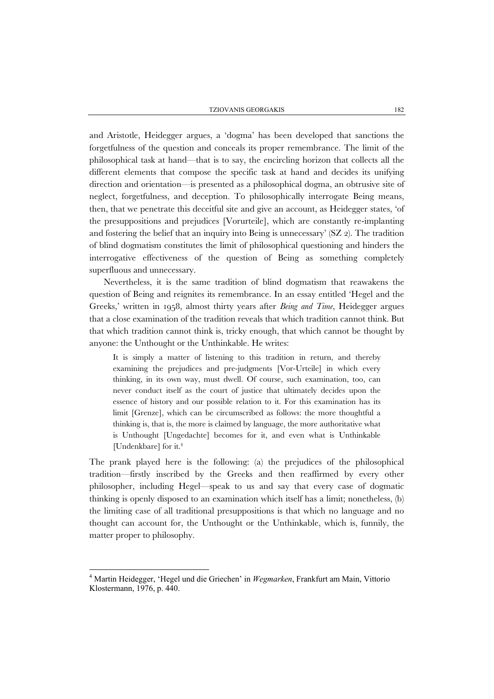and Aristotle, Heidegger argues, a 'dogma' has been developed that sanctions the forgetfulness of the question and conceals its proper remembrance. The limit of the philosophical task at hand—that is to say, the encircling horizon that collects all the different elements that compose the specific task at hand and decides its unifying direction and orientation—is presented as a philosophical dogma, an obtrusive site of neglect, forgetfulness, and deception. To philosophically interrogate Being means, then, that we penetrate this deceitful site and give an account, as Heidegger states, 'of the presuppositions and prejudices [Vorurteile], which are constantly re-implanting and fostering the belief that an inquiry into Being is unnecessary'  $(ZZ_2)$ . The tradition of blind dogmatism constitutes the limit of philosophical questioning and hinders the interrogative effectiveness of the question of Being as something completely superfluous and unnecessary.

Nevertheless, it is the same tradition of blind dogmatism that reawakens the question of Being and reignites its remembrance. In an essay entitled 'Hegel and the Greeks,' written in 1958, almost thirty years after *Being and Time*, Heidegger argues that a close examination of the tradition reveals that which tradition cannot think. But that which tradition cannot think is, tricky enough, that which cannot be thought by anyone: the Unthought or the Unthinkable. He writes:

It is simply a matter of listening to this tradition in return, and thereby examining the prejudices and pre-judgments [Vor-Urteile] in which every thinking, in its own way, must dwell. Of course, such examination, too, can never conduct itself as the court of justice that ultimately decides upon the essence of history and our possible relation to it. For this examination has its limit [Grenze], which can be circumscribed as follows: the more thoughtful a thinking is, that is, the more is claimed by language, the more authoritative what is Unthought [Ungedachte] becomes for it, and even what is Unthinkable [Undenkbare] for it.<sup>4</sup>

The prank played here is the following: (a) the prejudices of the philosophical tradition—firstly inscribed by the Greeks and then reaffirmed by every other philosopher, including Hegel—speak to us and say that every case of dogmatic thinking is openly disposed to an examination which itself has a limit; nonetheless, (b) the limiting case of all traditional presuppositions is that which no language and no thought can account for, the Unthought or the Unthinkable, which is, funnily, the matter proper to philosophy.

<sup>4</sup> Martin Heidegger, 'Hegel und die Griechen' in *Wegmarken*, Frankfurt am Main, Vittorio Klostermann, 1976, p. 440.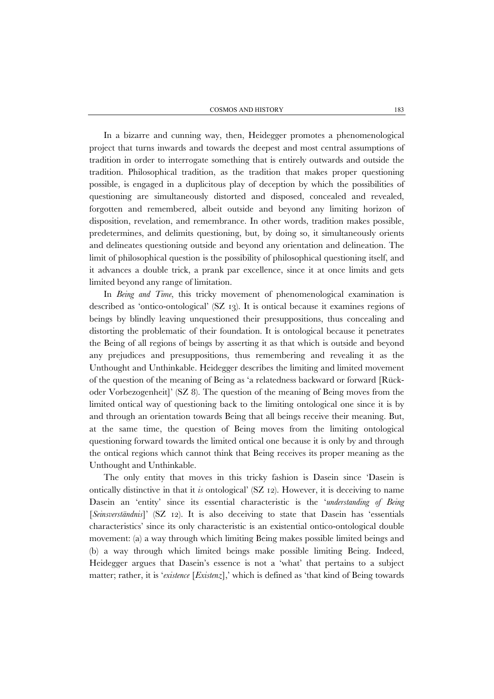In a bizarre and cunning way, then, Heidegger promotes a phenomenological project that turns inwards and towards the deepest and most central assumptions of tradition in order to interrogate something that is entirely outwards and outside the tradition. Philosophical tradition, as the tradition that makes proper questioning possible, is engaged in a duplicitous play of deception by which the possibilities of questioning are simultaneously distorted and disposed, concealed and revealed, forgotten and remembered, albeit outside and beyond any limiting horizon of disposition, revelation, and remembrance. In other words, tradition makes possible, predetermines, and delimits questioning, but, by doing so, it simultaneously orients and delineates questioning outside and beyond any orientation and delineation. The limit of philosophical question is the possibility of philosophical questioning itself, and it advances a double trick, a prank par excellence, since it at once limits and gets limited beyond any range of limitation.

In *Being and Time*, this tricky movement of phenomenological examination is described as 'ontico-ontological' (SZ 13). It is ontical because it examines regions of beings by blindly leaving unquestioned their presuppositions, thus concealing and distorting the problematic of their foundation. It is ontological because it penetrates the Being of all regions of beings by asserting it as that which is outside and beyond any prejudices and presuppositions, thus remembering and revealing it as the Unthought and Unthinkable. Heidegger describes the limiting and limited movement of the question of the meaning of Being as 'a relatedness backward or forward [Rückoder Vorbezogenheit]' (SZ 8). The question of the meaning of Being moves from the limited ontical way of questioning back to the limiting ontological one since it is by and through an orientation towards Being that all beings receive their meaning. But, at the same time, the question of Being moves from the limiting ontological questioning forward towards the limited ontical one because it is only by and through the ontical regions which cannot think that Being receives its proper meaning as the Unthought and Unthinkable.

The only entity that moves in this tricky fashion is Dasein since 'Dasein is ontically distinctive in that it *is* ontological' (SZ 12). However, it is deceiving to name Dasein an 'entity' since its essential characteristic is the '*understanding of Being* [*Seinsverständnis*]' (SZ 12). It is also deceiving to state that Dasein has 'essentials characteristics' since its only characteristic is an existential ontico-ontological double movement: (a) a way through which limiting Being makes possible limited beings and (b) a way through which limited beings make possible limiting Being. Indeed, Heidegger argues that Dasein's essence is not a 'what' that pertains to a subject matter; rather, it is '*existence* [*Existenz*],' which is defined as 'that kind of Being towards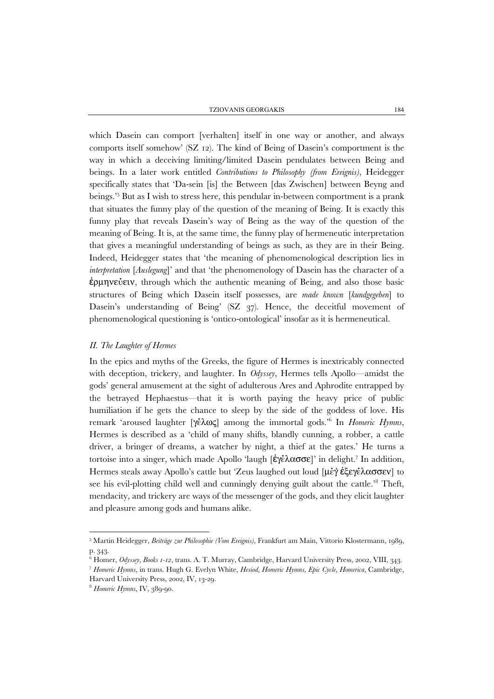which Dasein can comport [verhalten] itself in one way or another, and always comports itself somehow' (SZ 12). The kind of Being of Dasein's comportment is the way in which a deceiving limiting/limited Dasein pendulates between Being and beings. In a later work entitled *Contributions to Philosophy (from Ereignis)*, Heidegger specifically states that 'Da-sein [is] the Between [das Zwischen] between Beyng and beings.'<sup>5</sup> But as I wish to stress here, this pendular in-between comportment is a prank that situates the funny play of the question of the meaning of Being. It is exactly this funny play that reveals Dasein's way of Being as the way of the question of the meaning of Being. It is, at the same time, the funny play of hermeneutic interpretation that gives a meaningful understanding of beings as such, as they are in their Being. Indeed, Heidegger states that 'the meaning of phenomenological description lies in *interpretation* [*Auslegung*]' and that 'the phenomenology of Dasein has the character of a ἑρμηνεύειν, through which the authentic meaning of Being, and also those basic structures of Being which Dasein itself possesses, are *made known* [*kundgegeben*] to Dasein's understanding of Being' (SZ 37). Hence, the deceitful movement of phenomenological questioning is 'ontico-ontological' insofar as it is hermeneutical.

#### *II. The Laughter of Hermes*

In the epics and myths of the Greeks, the figure of Hermes is inextricably connected with deception, trickery, and laughter. In *Odyssey*, Hermes tells Apollo—amidst the gods' general amusement at the sight of adulterous Ares and Aphrodite entrapped by the betrayed Hephaestus—that it is worth paying the heavy price of public humiliation if he gets the chance to sleep by the side of the goddess of love. His remark 'aroused laughter [γέλως] among the immortal gods.'<sup>6</sup> In *Homeric Hymns*, Hermes is described as a 'child of many shifts, blandly cunning, a robber, a cattle driver, a bringer of dreams, a watcher by night, a thief at the gates.' He turns a tortoise into a singer, which made Apollo 'laugh [ἐγέλασσε]' in delight.<sup>7</sup> In addition, Hermes steals away Apollo's cattle but 'Zeus laughed out loud [μέγ έξεγέλασσεν] to see his evil-plotting child well and cunningly denying guilt about the cattle.'<sup>8</sup> Theft, mendacity, and trickery are ways of the messenger of the gods, and they elicit laughter and pleasure among gods and humans alike.

<sup>5</sup> Martin Heidegger, *Beiträge zur Philosophie (Vom Ereignis)*, Frankfurt am Main, Vittorio Klostermann, 1989, p. 343.

 $\frac{6}{6}$  Homer, *Odyssey, Books 1-12*, trans, A. T. Murray, Cambridge, Harvard University Press, 2002, VIII, 343,

<sup>7</sup> Homeric Hymns, in trans. Hugh G. Evelyn White, Hesiod, Homeric Hymns, Epic Cycle, Homerica, Cambridge, Harvard University Press, 2002, IV, 13-29.

<sup>8</sup> *Homeric Hymns*, IV, 389-90.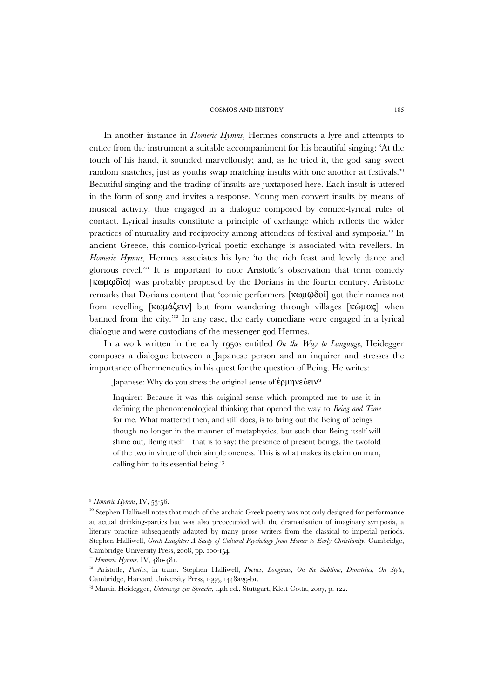In another instance in *Homeric Hymns*, Hermes constructs a lyre and attempts to entice from the instrument a suitable accompaniment for his beautiful singing: 'At the touch of his hand, it sounded marvellously; and, as he tried it, the god sang sweet random snatches, just as youths swap matching insults with one another at festivals.'<sup>9</sup> Beautiful singing and the trading of insults are juxtaposed here. Each insult is uttered in the form of song and invites a response. Young men convert insults by means of musical activity, thus engaged in a dialogue composed by comico-lyrical rules of contact. Lyrical insults constitute a principle of exchange which reflects the wider practices of mutuality and reciprocity among attendees of festival and symposia.10 In ancient Greece, this comico-lyrical poetic exchange is associated with revellers. In *Homeric Hymns*, Hermes associates his lyre 'to the rich feast and lovely dance and glorious revel.<sup>'11</sup> It is important to note Aristotle's observation that term comedy [κωμῳδία] was probably proposed by the Dorians in the fourth century. Aristotle remarks that Dorians content that 'comic performers [κωμῳδοί] got their names not from revelling [κωμάζειν] but from wandering through villages [κώμας] when banned from the city.'12 In any case, the early comedians were engaged in a lyrical dialogue and were custodians of the messenger god Hermes.

In a work written in the early 1950s entitled *On the Way to Language*, Heidegger composes a dialogue between a Japanese person and an inquirer and stresses the importance of hermeneutics in his quest for the question of Being. He writes:

Japanese: Why do you stress the original sense of ἑρμηνεύειν?

Inquirer: Because it was this original sense which prompted me to use it in defining the phenomenological thinking that opened the way to *Being and Time* for me. What mattered then, and still does, is to bring out the Being of beings though no longer in the manner of metaphysics, but such that Being itself will shine out, Being itself—that is to say: the presence of present beings, the twofold of the two in virtue of their simple oneness. This is what makes its claim on man, calling him to its essential being. $13$ 

<sup>&</sup>lt;sup>9</sup> *Homeric Hymns*, IV, 53-56.<br><sup>10</sup> Stephen Halliwell notes that much of the archaic Greek poetry was not only designed for performance at actual drinking-parties but was also preoccupied with the dramatisation of imaginary symposia, a literary practice subsequently adapted by many prose writers from the classical to imperial periods. Stephen Halliwell, *Greek Laughter: A Study of Cultural Psychology from Homer to Early Christianity*, Cambridge, Cambridge University Press, 2008, pp. 100-154.

<sup>&</sup>lt;sup>11</sup> *Homeric Hymns*, IV, 480-481.<br><sup>12</sup> Aristotle, *Poetics*, in trans. Stephen Halliwell, *Poetics, Longinus, On the Sublime, Demetrius, On Style*, Cambridge, Harvard University Press, 1995, 1448a29-b1. 13 Martin Heidegger, *Unterwegs zur Sprache*, 14th ed., Stuttgart, Klett-Cotta, 2007, p. 122.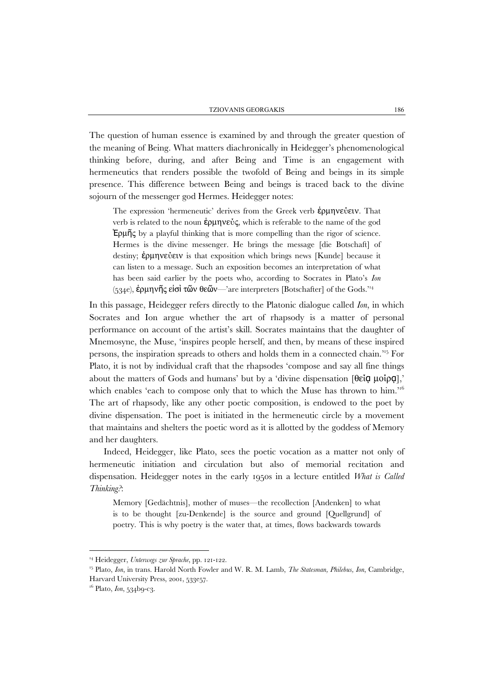The question of human essence is examined by and through the greater question of the meaning of Being. What matters diachronically in Heidegger's phenomenological thinking before, during, and after Being and Time is an engagement with hermeneutics that renders possible the twofold of Being and beings in its simple presence. This difference between Being and beings is traced back to the divine sojourn of the messenger god Hermes. Heidegger notes:

The expression 'hermeneutic' derives from the Greek verb **έρμηνε**ύειν. That verb is related to the noun ἑρμηνεύς, which is referable to the name of the god Ἑρμῆς by a playful thinking that is more compelling than the rigor of science. Hermes is the divine messenger. He brings the message [die Botschaft] of destiny; ἑρμηνεύειν is that exposition which brings news [Kunde] because it can listen to a message. Such an exposition becomes an interpretation of what has been said earlier by the poets who, according to Socrates in Plato's *Ion* (534e), ἑρμηνῆς εἰσὶ τῶν θεῶν—'are interpreters [Botschafter] of the Gods.'14

In this passage, Heidegger refers directly to the Platonic dialogue called *Ion*, in which Socrates and Ion argue whether the art of rhapsody is a matter of personal performance on account of the artist's skill. Socrates maintains that the daughter of Mnemosyne, the Muse, 'inspires people herself, and then, by means of these inspired persons, the inspiration spreads to others and holds them in a connected chain.'15 For Plato, it is not by individual craft that the rhapsodes 'compose and say all fine things about the matters of Gods and humans' but by a 'divine dispensation [θείᾳ μοίρᾳ],' which enables 'each to compose only that to which the Muse has thrown to him.'<sup>16</sup> The art of rhapsody, like any other poetic composition, is endowed to the poet by divine dispensation. The poet is initiated in the hermeneutic circle by a movement that maintains and shelters the poetic word as it is allotted by the goddess of Memory and her daughters.

Indeed, Heidegger, like Plato, sees the poetic vocation as a matter not only of hermeneutic initiation and circulation but also of memorial recitation and dispensation. Heidegger notes in the early 1950s in a lecture entitled *What is Called Thinking?*:

Memory [Gedächtnis], mother of muses—the recollection [Andenken] to what is to be thought [zu-Denkende] is the source and ground [Quellgrund] of poetry. This is why poetry is the water that, at times, flows backwards towards

<sup>&</sup>lt;sup>14</sup> Heidegger, *Unterwegs zur Sprache*, pp. 121-122.<br><sup>15</sup> Plato, *Ion*, in trans. Harold North Fowler and W. R. M. Lamb, *The Statesman, Philebus, Ion*, Cambridge, Harvard University Press, 2001, 533e57.

<sup>&</sup>lt;sup>16</sup> Plato, *Ion*, 534b9-c3.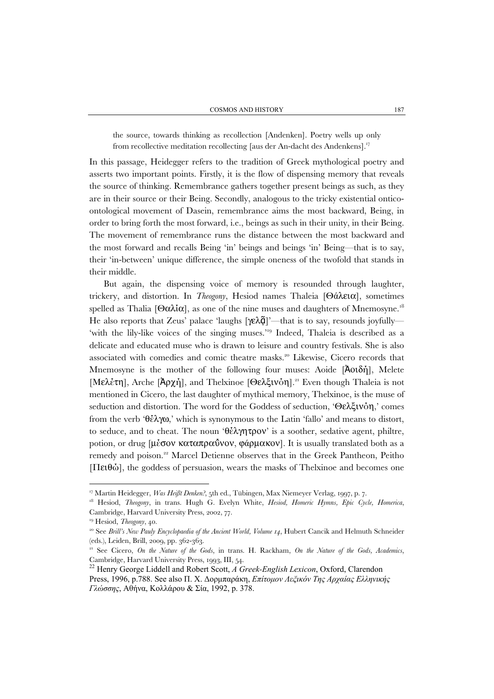the source, towards thinking as recollection [Andenken]. Poetry wells up only from recollective meditation recollecting [aus der An-dacht des Andenkens].17

In this passage, Heidegger refers to the tradition of Greek mythological poetry and asserts two important points. Firstly, it is the flow of dispensing memory that reveals the source of thinking. Remembrance gathers together present beings as such, as they are in their source or their Being. Secondly, analogous to the tricky existential onticoontological movement of Dasein, remembrance aims the most backward, Being, in order to bring forth the most forward, i.e., beings as such in their unity, in their Being. The movement of remembrance runs the distance between the most backward and the most forward and recalls Being 'in' beings and beings 'in' Being—that is to say, their 'in-between' unique difference, the simple oneness of the twofold that stands in their middle.

But again, the dispensing voice of memory is resounded through laughter, trickery, and distortion. In *Theogony*, Hesiod names Thaleia [Θάλεια], sometimes spelled as Thalia [Θαλία], as one of the nine muses and daughters of Mnemosyne.<sup>18</sup> He also reports that Zeus' palace 'laughs  $[\gamma \in \lambda \tilde{q}]$ '—that is to say, resounds joyfully— 'with the lily-like voices of the singing muses.'19 Indeed, Thaleia is described as a delicate and educated muse who is drawn to leisure and country festivals. She is also associated with comedies and comic theatre masks.20 Likewise, Cicero records that Mnemosyne is the mother of the following four muses: Aoide [Ἀοιδή], Melete [Μελέτη], Arche [Ἀρχή], and Thelxinoe [Θελξινόη].21 Even though Thaleia is not mentioned in Cicero, the last daughter of mythical memory, Thelxinoe, is the muse of seduction and distortion. The word for the Goddess of seduction, 'Θελξινόη,' comes from the verb 'θέλγω,' which is synonymous to the Latin 'fallo' and means to distort, to seduce, and to cheat. The noun 'θέλγητρον' is a soother, sedative agent, philtre, potion, or drug [μέσον καταπραΰνον, φάρμακον]. It is usually translated both as a remedy and poison.<sup>22</sup> Marcel Detienne observes that in the Greek Pantheon, Peitho [Πειθώ], the goddess of persuasion, wears the masks of Thelxinoe and becomes one

<sup>17</sup> Martin Heidegger, *Was Heißt Denken?*, 5th ed., Tübingen, Max Niemeyer Verlag, 1997, p. 7. 18 Hesiod, *Theogony*, in trans. Hugh G. Evelyn White, *Hesiod, Homeric Hymns, Epic Cycle, Homerica*, Cambridge, Harvard University Press, 2002, 77.

<sup>&</sup>lt;sup>19</sup> Hesiod, *Theogony*, 40.<br><sup>20</sup> See *Brill's New Pauly Encyclopaedia of the Ancient World, Volume 14*, Hubert Cancik and Helmuth Schneider (eds.), Leiden, Brill, 2009, pp. 362-363.

<sup>21</sup> See Cicero, *On the Nature of the Gods*, in trans. H. Rackham, *On the Nature of the Gods, Academics*, Cambridge, Harvard University Press, 1993, III, 54.

<sup>22</sup> Henry George Liddell and Robert Scott, *A Greek-English Lexicon*, Oxford, Clarendon Press, 1996, p.788. See also Π. Χ. Δορμπαράκη, *Επίτομον Λεξικόν Της Αρχαίας Ελληνικής Γλώσσης*, Αθήνα, Κολλάρου & Σία, 1992, p. 378.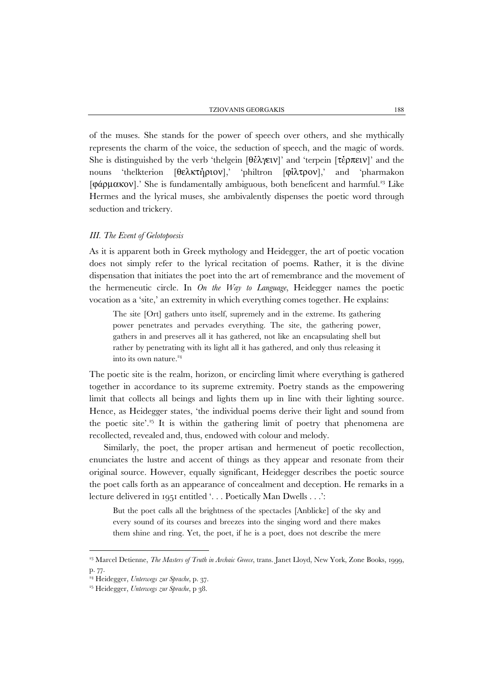of the muses. She stands for the power of speech over others, and she mythically represents the charm of the voice, the seduction of speech, and the magic of words. She is distinguished by the verb 'thelgein [θέλγειν]' and 'terpein [τέρπειν]' and the nouns 'thelkterion [θελκτήριον],' 'philtron [φίλτρον],' and 'pharmakon [φάρμακον].' She is fundamentally ambiguous, both beneficent and harmful.<sup>23</sup> Like Hermes and the lyrical muses, she ambivalently dispenses the poetic word through seduction and trickery.

# *III. The Event of Gelotopoesis*

As it is apparent both in Greek mythology and Heidegger, the art of poetic vocation does not simply refer to the lyrical recitation of poems. Rather, it is the divine dispensation that initiates the poet into the art of remembrance and the movement of the hermeneutic circle. In *On the Way to Language*, Heidegger names the poetic vocation as a 'site,' an extremity in which everything comes together. He explains:

The site [Ort] gathers unto itself, supremely and in the extreme. Its gathering power penetrates and pervades everything. The site, the gathering power, gathers in and preserves all it has gathered, not like an encapsulating shell but rather by penetrating with its light all it has gathered, and only thus releasing it into its own nature.<sup>24</sup>

The poetic site is the realm, horizon, or encircling limit where everything is gathered together in accordance to its supreme extremity. Poetry stands as the empowering limit that collects all beings and lights them up in line with their lighting source. Hence, as Heidegger states, 'the individual poems derive their light and sound from the poetic site'.<sup>25</sup> It is within the gathering limit of poetry that phenomena are recollected, revealed and, thus, endowed with colour and melody.

Similarly, the poet, the proper artisan and hermeneut of poetic recollection, enunciates the lustre and accent of things as they appear and resonate from their original source. However, equally significant, Heidegger describes the poetic source the poet calls forth as an appearance of concealment and deception. He remarks in a lecture delivered in 1951 entitled '. . . Poetically Man Dwells . . .':

But the poet calls all the brightness of the spectacles [Anblicke] of the sky and every sound of its courses and breezes into the singing word and there makes them shine and ring. Yet, the poet, if he is a poet, does not describe the mere

<sup>&</sup>lt;sup>23</sup> Marcel Detienne, *The Masters of Truth in Archaic Greece*, trans. Janet Lloyd, New York, Zone Books, 1999, p. 77.

<sup>24</sup> Heidegger, *Unterwegs zur Sprache*, p. 37. 25 Heidegger, *Unterwegs zur Sprache*, p 38.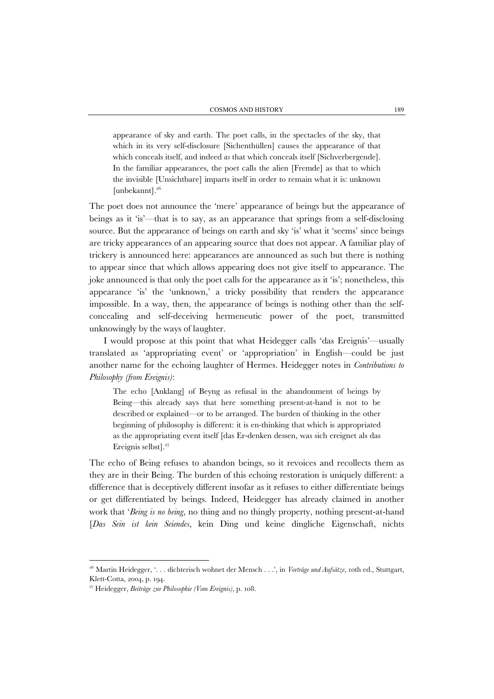appearance of sky and earth. The poet calls, in the spectacles of the sky, that which in its very self-disclosure [Sichenthüllen] causes the appearance of that which conceals itself, and indeed *as* that which conceals itself [Sichverbergende]. In the familiar appearances, the poet calls the alien [Fremde] as that to which the invisible [Unsichtbare] imparts itself in order to remain what it is: unknown [unbekannt].<sup>26</sup>

The poet does not announce the 'mere' appearance of beings but the appearance of beings as it 'is'—that is to say, as an appearance that springs from a self-disclosing source. But the appearance of beings on earth and sky 'is' what it 'seems' since beings are tricky appearances of an appearing source that does not appear. A familiar play of trickery is announced here: appearances are announced as such but there is nothing to appear since that which allows appearing does not give itself to appearance. The joke announced is that only the poet calls for the appearance as it 'is'; nonetheless, this appearance 'is' the 'unknown,' a tricky possibility that renders the appearance impossible. In a way, then, the appearance of beings is nothing other than the selfconcealing and self-deceiving hermeneutic power of the poet, transmitted unknowingly by the ways of laughter.

I would propose at this point that what Heidegger calls 'das Ereignis'—usually translated as 'appropriating event' or 'appropriation' in English—could be just another name for the echoing laughter of Hermes. Heidegger notes in *Contributions to Philosophy (from Ereignis)*:

The echo [Anklang] of Beyng as refusal in the abandonment of beings by Being—this already says that here something present-at-hand is not to be described or explained—or to be arranged. The burden of thinking in the other beginning of philosophy is different: it is en-thinking that which is appropriated as the appropriating event itself [das Er-denken dessen, was sich ereignet als das Ereignis selbst].<sup>27</sup>

The echo of Being refuses to abandon beings, so it revoices and recollects them as they are in their Being. The burden of this echoing restoration is uniquely different: a difference that is deceptively different insofar as it refuses to either differentiate beings or get differentiated by beings. Indeed, Heidegger has already claimed in another work that '*Being is no being*, no thing and no thingly property, nothing present-at-hand [*Das Sein ist kein Seiendes*, kein Ding und keine dingliche Eigenschaft, nichts

<sup>26</sup> Martin Heidegger, '. . . dichterisch wohnet der Mensch . . .', in *Vorträge und Aufsätze*, 10th ed., Stuttgart, Klett-Cotta, 2004, p. 194.

<sup>27</sup> Heidegger, *Beiträge zur Philosophie (Vom Ereignis)*, p. 108.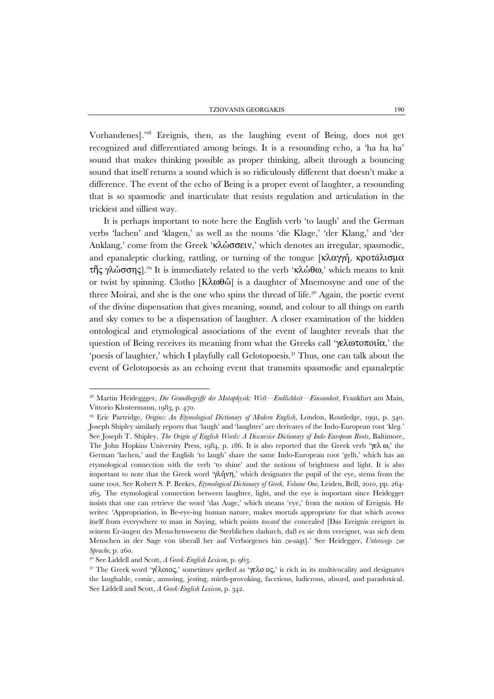Vorhandenes].'28 Ereignis, then, as the laughing event of Being, does not get recognized and differentiated among beings. It is a resounding echo, a 'ha ha ha' sound that makes thinking possible as proper thinking, albeit through a bouncing sound that itself returns a sound which is so ridiculously different that doesn't make a difference. The event of the echo of Being is a proper event of laughter, a resounding that is so spasmodic and inarticulate that resists regulation and articulation in the trickiest and silliest way.

It is perhaps important to note here the English verb 'to laugh' and the German verbs 'lachen' and 'klagen,' as well as the nouns 'die Klage,' 'der Klang,' and 'der Anklang,' come from the Greek 'κλώσσειν,' which denotes an irregular, spasmodic, and epanaleptic clucking, rattling, or turning of the tongue  $[\kappa \lambda \alpha \gamma \gamma]$ , κροτάλισμα τῆς γλώσσης].29 It is immediately related to the verb 'κλώθω,' which means to knit or twist by spinning. Clotho [Κλωθώ] is a daughter of Mnemosyne and one of the three Moirai, and she is the one who spins the thread of life.30 Again, the poetic event of the divine dispensation that gives meaning, sound, and colour to all things on earth and sky comes to be a dispensation of laughter. A closer examination of the hidden ontological and etymological associations of the event of laughter reveals that the question of Being receives its meaning from what the Greeks call 'γελωτοποιία,' the 'poesis of laughter,' which I playfully call Gelotopoesis.<sup>31</sup> Thus, one can talk about the event of Gelotopoesis as an echoing event that transmits spasmodic and epanaleptic

<sup>28</sup> Martin Heideggger, *Die Grundbegriffe der Mataphysik: Welt—Endlichkeit—Einsamkeit*, Frankfurt am Main, Vittorio Klostermann, 1983, p. 470.<br><sup>29</sup> Eric Partridge, *Origins: An Etymological Dictionary of Modern English*, London, Routledge, 1991, p. 340.

Joseph Shipley similarly reports that 'laugh' and 'laughter' are derivates of the Indo-European root 'kleg.' See Joseph T. Shipley, *The Origin of English Words: A Discursive Dictionary of Indo-European Roots*, Baltimore, The John Hopkins University Press, 1984, p. 186. It is also reported that the Greek verb 'γελ ω,' the German 'lachen,' and the English 'to laugh' share the same Indo-European root 'gelh,' which has an etymological connection with the verb 'to shine' and the notions of brightness and light. It is also important to note that the Greek word 'γλήνη,' which designates the pupil of the eye, stems from the same root. See Robert S. P. Beekes, *Etymological Dictionary of Greek, Volume One*, Leiden, Brill, 2010, pp. 264- 265. The etymological connection between laughter, light, and the eye is important since Heidegger insists that one can retrieve the word 'das Auge,' which means 'eye,' from the notion of Ereignis. He writes: 'Appropriation, in Be-eye-ing human nature, makes mortals appropriate for that which avows itself from everywhere to man in Saying, which points *toward* the concealed [Das Ereignis ereignet in seinem Er-äugen des Menschenwesens die Sterblichen dadurch, daß es sie dem vereignet, was sich dem Menschen in der Sage von überall her auf Verborgenes hin *zu*-sagt].' See Heidegger, *Unterwegs zur Sprache*, p. 260.<br><sup>30</sup> See Liddell and Scott, *A Greek-English Lexicon*, p. 963.<br><sup>31</sup> The Greek word 'γέλοιος,' sometimes spelled as 'γελο ος,' is rich in its multivocality and designates

the laughable, comic, amusing, jesting, mirth-provoking, facetious, ludicrous, absurd, and paradoxical. See Liddell and Scott, *A Greek-English Lexicon*, p. 342.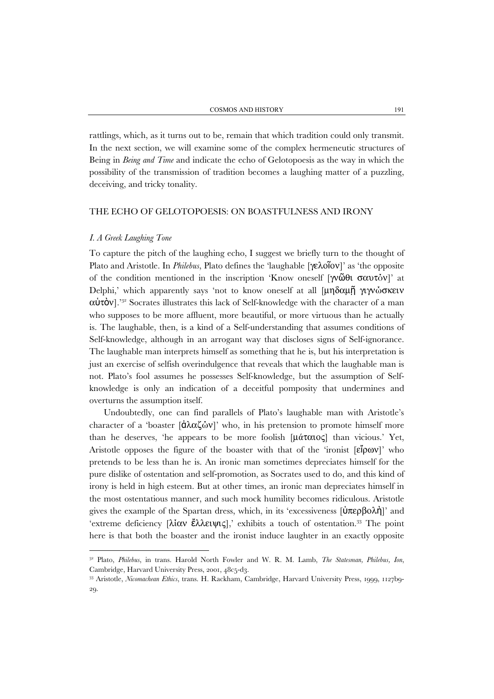rattlings, which, as it turns out to be, remain that which tradition could only transmit. In the next section, we will examine some of the complex hermeneutic structures of Being in *Being and Time* and indicate the echo of Gelotopoesis as the way in which the possibility of the transmission of tradition becomes a laughing matter of a puzzling, deceiving, and tricky tonality.

#### THE ECHO OF GELOTOPOESIS: ON BOASTFULNESS AND IRONY

## *I. A Greek Laughing Tone*

 $\overline{a}$ 

To capture the pitch of the laughing echo, I suggest we briefly turn to the thought of Plato and Aristotle. In *Philebus*, Plato defines the 'laughable [γελοῖον]' as 'the opposite of the condition mentioned in the inscription 'Know oneself [γνῶθι σαυτόν]' at Delphi,' which apparently says 'not to know oneself at all [μηδαμῇ γιγνώσκειν  $αύτὸν].<sup>33</sup> Socrates illustrates this lack of Self-knowledge with the character of a man$ who supposes to be more affluent, more beautiful, or more virtuous than he actually is. The laughable, then, is a kind of a Self-understanding that assumes conditions of Self-knowledge, although in an arrogant way that discloses signs of Self-ignorance. The laughable man interprets himself as something that he is, but his interpretation is just an exercise of selfish overindulgence that reveals that which the laughable man is not. Plato's fool assumes he possesses Self-knowledge, but the assumption of Selfknowledge is only an indication of a deceitful pomposity that undermines and overturns the assumption itself.

Undoubtedly, one can find parallels of Plato's laughable man with Aristotle's character of a 'boaster  $\left[\hat{d}\lambda\alpha\zeta\hat{\omega}v\right]$ ' who, in his pretension to promote himself more than he deserves, 'he appears to be more foolish [μάταιος] than vicious.' Yet, Aristotle opposes the figure of the boaster with that of the 'ironist [εἴρων]' who pretends to be less than he is. An ironic man sometimes depreciates himself for the pure dislike of ostentation and self-promotion, as Socrates used to do, and this kind of irony is held in high esteem. But at other times, an ironic man depreciates himself in the most ostentatious manner, and such mock humility becomes ridiculous. Aristotle gives the example of the Spartan dress, which, in its 'excessiveness  $[\hat{\mathsf{U}} \pi \epsilon \rho \beta \omega \lambda \hat{\mathsf{n}}]'$ ' and 'extreme deficiency [λίαν ἔλλειψις],' exhibits a touch of ostentation.<sup>33</sup> The point here is that both the boaster and the ironist induce laughter in an exactly opposite

<sup>32</sup> Plato, *Philebus*, in trans. Harold North Fowler and W. R. M. Lamb, *The Statesman, Philebus, Ion*, Cambridge, Harvard University Press, 2001, 48c5-d3.

<sup>33</sup> Aristotle, *Nicomachean Ethics*, trans. H. Rackham, Cambridge, Harvard University Press, 1999, 1127b9- 29.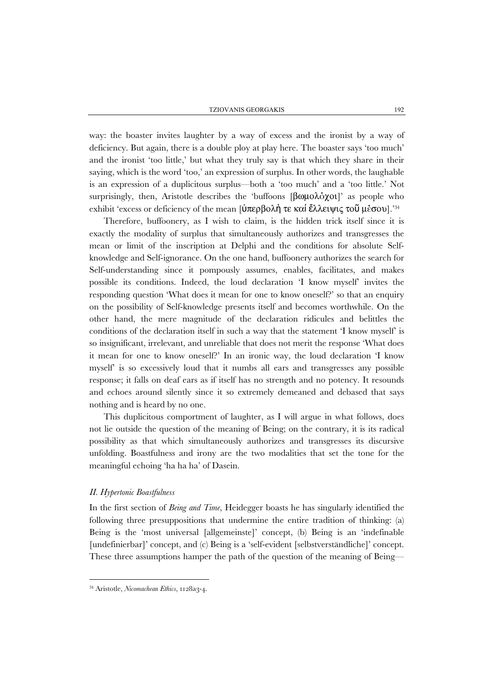way: the boaster invites laughter by a way of excess and the ironist by a way of deficiency. But again, there is a double ploy at play here. The boaster says 'too much' and the ironist 'too little,' but what they truly say is that which they share in their saying, which is the word 'too,' an expression of surplus. In other words, the laughable is an expression of a duplicitous surplus—both a 'too much' and a 'too little.' Not surprisingly, then, Aristotle describes the 'buffoons [βωμολόχοι]' as people who exhibit 'excess or deficiency of the mean  $[\mathbf{\dot{U}}\pi \epsilon \rho \beta o \lambda \dot{\mathbf{\eta}}\ \tau \epsilon \kappa o \dot{\mathbf{\mu}}\ \dot{\epsilon} \lambda \lambda \epsilon \dot{\mathbf{\nu}} \mu \zeta \tau o \ddot{\mathbf{\nu}}\ \mu \dot{\epsilon} \sigma o \nu]$ .<sup>234</sup>

Therefore, buffoonery, as I wish to claim, is the hidden trick itself since it is exactly the modality of surplus that simultaneously authorizes and transgresses the mean or limit of the inscription at Delphi and the conditions for absolute Selfknowledge and Self-ignorance. On the one hand, buffoonery authorizes the search for Self-understanding since it pompously assumes, enables, facilitates, and makes possible its conditions. Indeed, the loud declaration 'I know myself' invites the responding question 'What does it mean for one to know oneself?' so that an enquiry on the possibility of Self-knowledge presents itself and becomes worthwhile. On the other hand, the mere magnitude of the declaration ridicules and belittles the conditions of the declaration itself in such a way that the statement 'I know myself' is so insignificant, irrelevant, and unreliable that does not merit the response 'What does it mean for one to know oneself?' In an ironic way, the loud declaration 'I know myself' is so excessively loud that it numbs all ears and transgresses any possible response; it falls on deaf ears as if itself has no strength and no potency. It resounds and echoes around silently since it so extremely demeaned and debased that says nothing and is heard by no one.

This duplicitous comportment of laughter, as I will argue in what follows, does not lie outside the question of the meaning of Being; on the contrary, it is its radical possibility as that which simultaneously authorizes and transgresses its discursive unfolding. Boastfulness and irony are the two modalities that set the tone for the meaningful echoing 'ha ha ha' of Dasein.

## *II. Hypertonic Boastfulness*

 $\overline{a}$ 

In the first section of *Being and Time*, Heidegger boasts he has singularly identified the following three presuppositions that undermine the entire tradition of thinking: (a) Being is the 'most universal [allgemeinste]' concept, (b) Being is an 'indefinable [undefinierbar]' concept, and (c) Being is a 'self-evident [selbstverständliche]' concept. These three assumptions hamper the path of the question of the meaning of Being—

<sup>&</sup>lt;sup>34</sup> Aristotle, *Nicomachean Ethics*, 1128a3-4.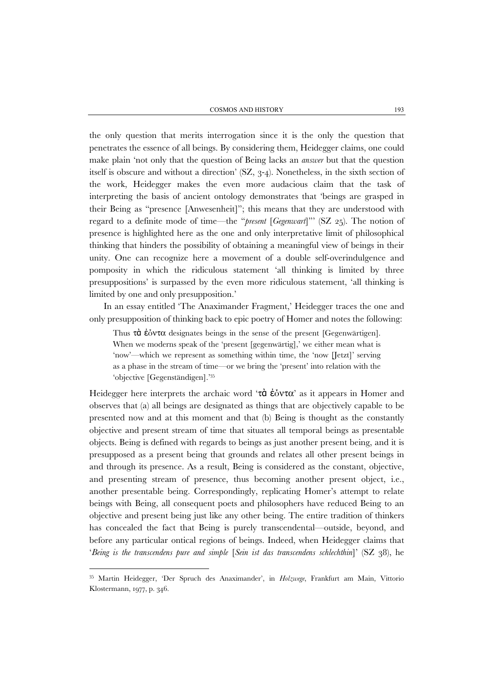the only question that merits interrogation since it is the only the question that penetrates the essence of all beings. By considering them, Heidegger claims, one could make plain 'not only that the question of Being lacks an *answer* but that the question itself is obscure and without a direction' (SZ, 3-4). Nonetheless, in the sixth section of the work, Heidegger makes the even more audacious claim that the task of interpreting the basis of ancient ontology demonstrates that 'beings are grasped in their Being as "presence [Anwesenheit]"; this means that they are understood with regard to a definite mode of time—the "*present* [*Gegenwart*]"' (SZ 25). The notion of presence is highlighted here as the one and only interpretative limit of philosophical thinking that hinders the possibility of obtaining a meaningful view of beings in their unity. One can recognize here a movement of a double self-overindulgence and pomposity in which the ridiculous statement 'all thinking is limited by three presuppositions' is surpassed by the even more ridiculous statement, 'all thinking is limited by one and only presupposition.'

In an essay entitled 'The Anaximander Fragment,' Heidegger traces the one and only presupposition of thinking back to epic poetry of Homer and notes the following:

Thus  $\tau \dot{\alpha}$  έόντα designates beings in the sense of the present [Gegenwärtigen]. When we moderns speak of the 'present [gegenwärtig],' we either mean what is 'now'—which we represent as something within time, the 'now [Jetzt]' serving as a phase in the stream of time—or we bring the 'present' into relation with the 'objective [Gegenständigen].'35

Heidegger here interprets the archaic word 'τὰ έδντα' as it appears in Homer and observes that (a) all beings are designated as things that are objectively capable to be presented now and at this moment and that (b) Being is thought as the constantly objective and present stream of time that situates all temporal beings as presentable objects. Being is defined with regards to beings as just another present being, and it is presupposed as a present being that grounds and relates all other present beings in and through its presence. As a result, Being is considered as the constant, objective, and presenting stream of presence, thus becoming another present object, i.e., another presentable being. Correspondingly, replicating Homer's attempt to relate beings with Being, all consequent poets and philosophers have reduced Being to an objective and present being just like any other being. The entire tradition of thinkers has concealed the fact that Being is purely transcendental—outside, beyond, and before any particular ontical regions of beings. Indeed, when Heidegger claims that '*Being is the transcendens pure and simple* [*Sein ist das transcendens schlechthin*]' (SZ 38), he

<sup>35</sup> Martin Heidegger, 'Der Spruch des Anaximander', in *Holzwege*, Frankfurt am Main, Vittorio Klostermann, 1977, p. 346.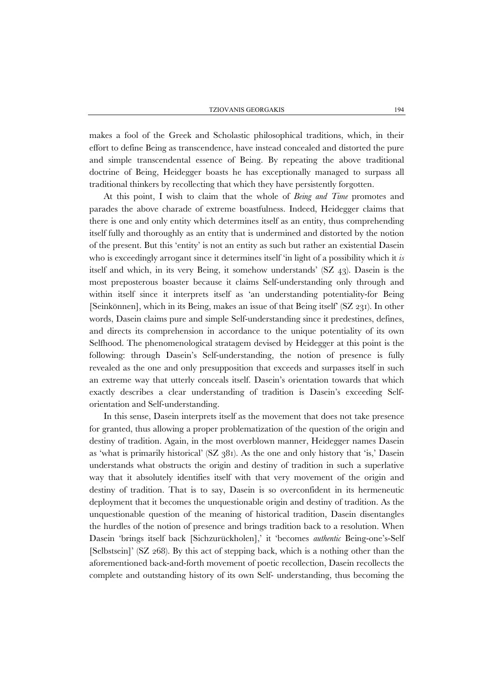makes a fool of the Greek and Scholastic philosophical traditions, which, in their effort to define Being as transcendence, have instead concealed and distorted the pure and simple transcendental essence of Being. By repeating the above traditional doctrine of Being, Heidegger boasts he has exceptionally managed to surpass all traditional thinkers by recollecting that which they have persistently forgotten.

At this point, I wish to claim that the whole of *Being and Time* promotes and parades the above charade of extreme boastfulness. Indeed, Heidegger claims that there is one and only entity which determines itself as an entity, thus comprehending itself fully and thoroughly as an entity that is undermined and distorted by the notion of the present. But this 'entity' is not an entity as such but rather an existential Dasein who is exceedingly arrogant since it determines itself 'in light of a possibility which it *is* itself and which, in its very Being, it somehow understands' (SZ 43). Dasein is the most preposterous boaster because it claims Self-understanding only through and within itself since it interprets itself as 'an understanding potentiality-for Being [Seinkönnen], which in its Being, makes an issue of that Being itself' (SZ 231). In other words, Dasein claims pure and simple Self-understanding since it predestines, defines, and directs its comprehension in accordance to the unique potentiality of its own Selfhood. The phenomenological stratagem devised by Heidegger at this point is the following: through Dasein's Self-understanding, the notion of presence is fully revealed as the one and only presupposition that exceeds and surpasses itself in such an extreme way that utterly conceals itself. Dasein's orientation towards that which exactly describes a clear understanding of tradition is Dasein's exceeding Selforientation and Self-understanding.

In this sense, Dasein interprets itself as the movement that does not take presence for granted, thus allowing a proper problematization of the question of the origin and destiny of tradition. Again, in the most overblown manner, Heidegger names Dasein as 'what is primarily historical'  $(SZ \t381)$ . As the one and only history that 'is,' Dasein understands what obstructs the origin and destiny of tradition in such a superlative way that it absolutely identifies itself with that very movement of the origin and destiny of tradition. That is to say, Dasein is so overconfident in its hermeneutic deployment that it becomes the unquestionable origin and destiny of tradition. As the unquestionable question of the meaning of historical tradition, Dasein disentangles the hurdles of the notion of presence and brings tradition back to a resolution. When Dasein 'brings itself back [Sichzurückholen],' it 'becomes *authentic* Being-one's-Self [Selbstsein]' (SZ 268). By this act of stepping back, which is a nothing other than the aforementioned back-and-forth movement of poetic recollection, Dasein recollects the complete and outstanding history of its own Self- understanding, thus becoming the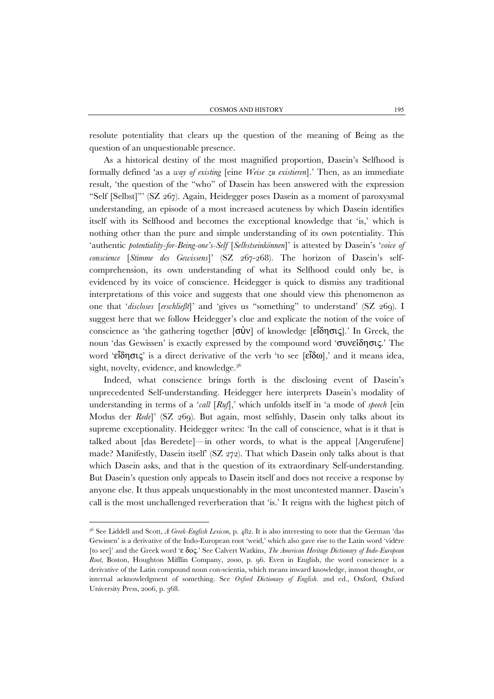resolute potentiality that clears up the question of the meaning of Being as the question of an unquestionable presence.

As a historical destiny of the most magnified proportion, Dasein's Selfhood is formally defined 'as a *way of existing* [eine *Weise zu existieren*].' Then, as an immediate result, 'the question of the "who" of Dasein has been answered with the expression "Self [Selbst]"' (SZ 267). Again, Heidegger poses Dasein as a moment of paroxysmal understanding, an episode of a most increased acuteness by which Dasein identifies itself with its Selfhood and becomes the exceptional knowledge that 'is,' which is nothing other than the pure and simple understanding of its own potentiality. This 'authentic *potentiality-for-Being-one's-Self* [*Selbstseinkönnen*]' is attested by Dasein's '*voice of conscience* [*Stimme des Gewissens*]' (SZ 267-268). The horizon of Dasein's selfcomprehension, its own understanding of what its Selfhood could only be, is evidenced by its voice of conscience. Heidegger is quick to dismiss any traditional interpretations of this voice and suggests that one should view this phenomenon as one that '*discloses* [*erschließt*]' and 'gives us "something" to understand' (SZ 269). I suggest here that we follow Heidegger's clue and explicate the notion of the voice of conscience as 'the gathering together  $\overline{[\sigma \nu]}$  of knowledge  $\overline{[\epsilon \nu]}$  [ε<sup>'</sup>δησις].' In Greek, the noun 'das Gewissen' is exactly expressed by the compound word 'συνείδησις.' The word 'εΐδησις' is a direct derivative of the verb 'to see [εΐδω],' and it means idea, sight, novelty, evidence, and knowledge. $3^6$ 

Indeed, what conscience brings forth is the disclosing event of Dasein's unprecedented Self-understanding. Heidegger here interprets Dasein's modality of understanding in terms of a '*call* [*Ruf*],' which unfolds itself in 'a mode of *speech* [ein Modus der *Rede*]' (SZ 269). But again, most selfishly, Dasein only talks about its supreme exceptionality. Heidegger writes: 'In the call of conscience, what is it that is talked about [das Beredete]—in other words, to what is the appeal [Angerufene] made? Manifestly, Dasein itself' (SZ 272). That which Dasein only talks about is that which Dasein asks, and that is the question of its extraordinary Self-understanding. But Dasein's question only appeals to Dasein itself and does not receive a response by anyone else. It thus appeals unquestionably in the most uncontested manner. Dasein's call is the most unchallenged reverberation that 'is.' It reigns with the highest pitch of

<sup>36</sup> See Liddell and Scott, *A Greek-English Lexicon*, p. 482. It is also interesting to note that the German 'das Gewissen' is a derivative of the Indo-European root 'weid,' which also gave rise to the Latin word 'vidēre [to see]' and the Greek word 'ε δος.' See Calvert Watkins, *The American Heritage Dictionary of Indo-European Root*, Boston, Houghton Mifflin Company, 2000, p. 96. Even in English, the word conscience is a derivative of the Latin compound noun con-scientia, which means inward knowledge, inmost thought, or internal acknowledgment of something. See *Oxford Dictionary of English*. 2nd ed., Oxford, Oxford University Press, 2006, p. 368.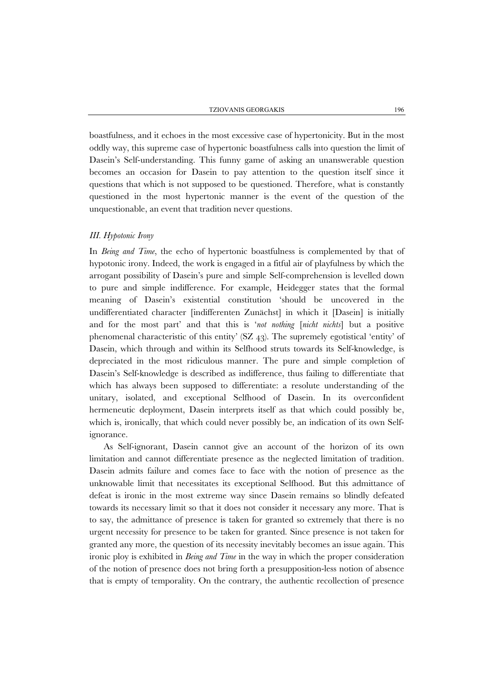boastfulness, and it echoes in the most excessive case of hypertonicity. But in the most oddly way, this supreme case of hypertonic boastfulness calls into question the limit of Dasein's Self-understanding. This funny game of asking an unanswerable question becomes an occasion for Dasein to pay attention to the question itself since it questions that which is not supposed to be questioned. Therefore, what is constantly questioned in the most hypertonic manner is the event of the question of the unquestionable, an event that tradition never questions.

## *III. Hypotonic Irony*

In *Being and Time*, the echo of hypertonic boastfulness is complemented by that of hypotonic irony. Indeed, the work is engaged in a fitful air of playfulness by which the arrogant possibility of Dasein's pure and simple Self-comprehension is levelled down to pure and simple indifference. For example, Heidegger states that the formal meaning of Dasein's existential constitution 'should be uncovered in the undifferentiated character [indifferenten Zunächst] in which it [Dasein] is initially and for the most part' and that this is '*not nothing* [*nicht nichts*] but a positive phenomenal characteristic of this entity' (SZ 43). The supremely egotistical 'entity' of Dasein, which through and within its Selfhood struts towards its Self-knowledge, is depreciated in the most ridiculous manner. The pure and simple completion of Dasein's Self-knowledge is described as indifference, thus failing to differentiate that which has always been supposed to differentiate: a resolute understanding of the unitary, isolated, and exceptional Selfhood of Dasein. In its overconfident hermeneutic deployment, Dasein interprets itself as that which could possibly be, which is, ironically, that which could never possibly be, an indication of its own Selfignorance.

As Self-ignorant, Dasein cannot give an account of the horizon of its own limitation and cannot differentiate presence as the neglected limitation of tradition. Dasein admits failure and comes face to face with the notion of presence as the unknowable limit that necessitates its exceptional Selfhood. But this admittance of defeat is ironic in the most extreme way since Dasein remains so blindly defeated towards its necessary limit so that it does not consider it necessary any more. That is to say, the admittance of presence is taken for granted so extremely that there is no urgent necessity for presence to be taken for granted. Since presence is not taken for granted any more, the question of its necessity inevitably becomes an issue again. This ironic ploy is exhibited in *Being and Time* in the way in which the proper consideration of the notion of presence does not bring forth a presupposition-less notion of absence that is empty of temporality. On the contrary, the authentic recollection of presence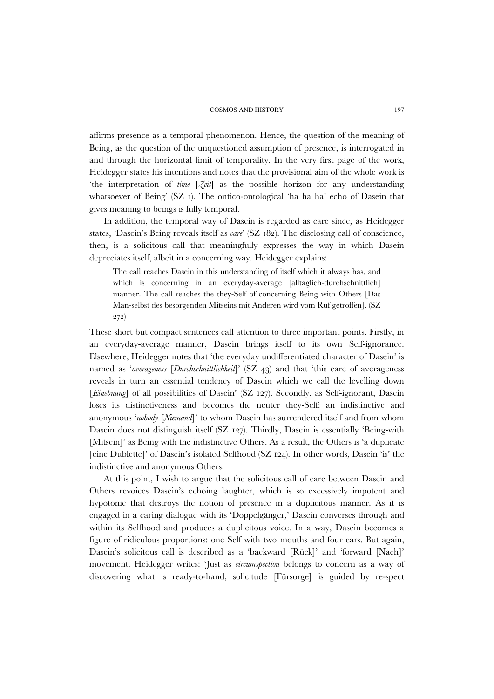affirms presence as a temporal phenomenon. Hence, the question of the meaning of Being, as the question of the unquestioned assumption of presence, is interrogated in and through the horizontal limit of temporality. In the very first page of the work, Heidegger states his intentions and notes that the provisional aim of the whole work is 'the interpretation of *time* [*Zeit*] as the possible horizon for any understanding whatsoever of Being' (SZ 1). The ontico-ontological 'ha ha ha' echo of Dasein that gives meaning to beings is fully temporal.

In addition, the temporal way of Dasein is regarded as care since, as Heidegger states, 'Dasein's Being reveals itself as *care*' (SZ 182). The disclosing call of conscience, then, is a solicitous call that meaningfully expresses the way in which Dasein depreciates itself, albeit in a concerning way. Heidegger explains:

The call reaches Dasein in this understanding of itself which it always has, and which is concerning in an everyday-average [alltäglich-durchschnittlich] manner. The call reaches the they-Self of concerning Being with Others [Das Man-selbst des besorgenden Mitseins mit Anderen wird vom Ruf getroffen]. (SZ 272)

These short but compact sentences call attention to three important points. Firstly, in an everyday-average manner, Dasein brings itself to its own Self-ignorance. Elsewhere, Heidegger notes that 'the everyday undifferentiated character of Dasein' is named as '*averageness* [*Durchschnittlichkeit*]' (SZ 43) and that 'this care of averageness reveals in turn an essential tendency of Dasein which we call the levelling down [*Einebnung*] of all possibilities of Dasein' (SZ 127). Secondly, as Self-ignorant, Dasein loses its distinctiveness and becomes the neuter they-Self: an indistinctive and anonymous '*nobody* [*Niemand*]' to whom Dasein has surrendered itself and from whom Dasein does not distinguish itself (SZ 127). Thirdly, Dasein is essentially 'Being-with [Mitsein]' as Being with the indistinctive Others. As a result, the Others is 'a duplicate [eine Dublette]' of Dasein's isolated Selfhood (SZ 124). In other words, Dasein 'is' the indistinctive and anonymous Others.

At this point, I wish to argue that the solicitous call of care between Dasein and Others revoices Dasein's echoing laughter, which is so excessively impotent and hypotonic that destroys the notion of presence in a duplicitous manner. As it is engaged in a caring dialogue with its 'Doppelgänger,' Dasein converses through and within its Selfhood and produces a duplicitous voice. In a way, Dasein becomes a figure of ridiculous proportions: one Self with two mouths and four ears. But again, Dasein's solicitous call is described as a 'backward [Rück]' and 'forward [Nach]' movement. Heidegger writes: 'Just as *circumspection* belongs to concern as a way of discovering what is ready-to-hand, solicitude [Fürsorge] is guided by re-spect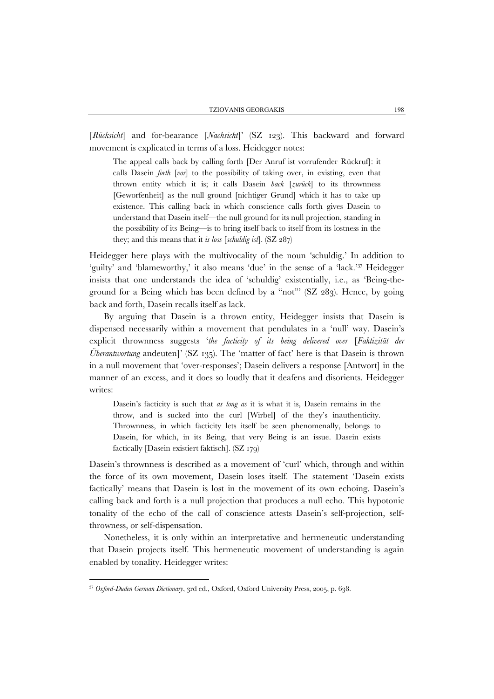[*Rücksicht*] and for-bearance [*Nachsicht*]' (SZ 123). This backward and forward movement is explicated in terms of a loss. Heidegger notes:

The appeal calls back by calling forth [Der Anruf ist vorrufender Rückruf]: it calls Dasein *forth* [*vor*] to the possibility of taking over, in existing, even that thrown entity which it is; it calls Dasein *back* [*zurück*] to its thrownness [Geworfenheit] as the null ground [nichtiger Grund] which it has to take up existence. This calling back in which conscience calls forth gives Dasein to understand that Dasein itself—the null ground for its null projection, standing in the possibility of its Being—is to bring itself back to itself from its lostness in the they; and this means that it *is loss* [*schuldig ist*]. (SZ 287)

Heidegger here plays with the multivocality of the noun 'schuldig.' In addition to 'guilty' and 'blameworthy,' it also means 'due' in the sense of a 'lack.'37 Heidegger insists that one understands the idea of 'schuldig' existentially, i.e., as 'Being-theground for a Being which has been defined by a "not"' (SZ 283). Hence, by going back and forth, Dasein recalls itself as lack.

By arguing that Dasein is a thrown entity, Heidegger insists that Dasein is dispensed necessarily within a movement that pendulates in a 'null' way. Dasein's explicit thrownness suggests '*the facticity of its being delivered over* [*Faktizität der Überantwortung* andeuten]' (SZ 135). The 'matter of fact' here is that Dasein is thrown in a null movement that 'over-responses'; Dasein delivers a response [Antwort] in the manner of an excess, and it does so loudly that it deafens and disorients. Heidegger writes:

Dasein's facticity is such that *as long as* it is what it is, Dasein remains in the throw, and is sucked into the curl [Wirbel] of the they's inauthenticity. Thrownness, in which facticity lets itself be seen phenomenally, belongs to Dasein, for which, in its Being, that very Being is an issue. Dasein exists factically [Dasein existiert faktisch]. (SZ 179)

Dasein's thrownness is described as a movement of 'curl' which, through and within the force of its own movement, Dasein loses itself. The statement 'Dasein exists factically' means that Dasein is lost in the movement of its own echoing. Dasein's calling back and forth is a null projection that produces a null echo. This hypotonic tonality of the echo of the call of conscience attests Dasein's self-projection, selfthrowness, or self-dispensation.

Nonetheless, it is only within an interpretative and hermeneutic understanding that Dasein projects itself. This hermeneutic movement of understanding is again enabled by tonality. Heidegger writes:

<sup>37</sup> *Oxford-Duden German Dictionary*, 3rd ed., Oxford, Oxford University Press, 2005, p. 638.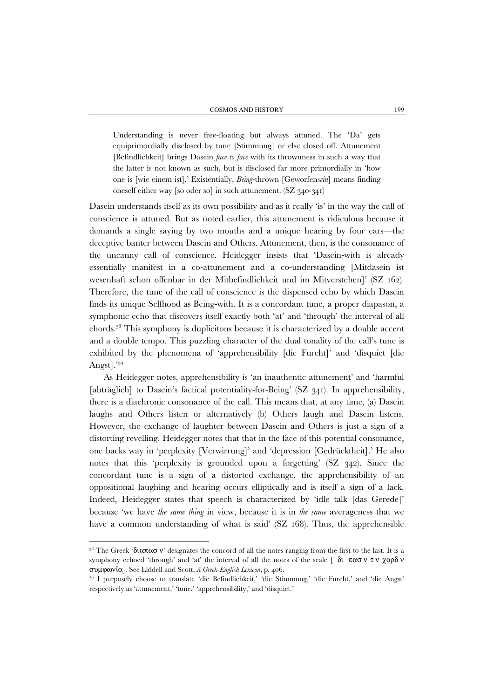Understanding is never free-floating but always attuned. The 'Da' gets equiprimordially disclosed by tune [Stimmung] or else closed off. Attunement [Befindlichkeit] brings Dasein *face to face* with its thrownness in such a way that the latter is not known as such, but is disclosed far more primordially in 'how one is [wie einem ist].' Existentially, *Being*-thrown [Geworfen*sein*] means finding oneself either way [so oder so] in such attunement. (SZ 340-341)

Dasein understands itself as its own possibility and as it really 'is' in the way the call of conscience is attuned. But as noted earlier, this attunement is ridiculous because it demands a single saying by two mouths and a unique hearing by four ears—the deceptive banter between Dasein and Others. Attunement, then, is the consonance of the uncanny call of conscience. Heidegger insists that 'Dasein-with is already essentially manifest in a co-attunement and a co-understanding [Mitdasein ist wesenhaft schon offenbar in der Mitbefindlichkeit und im Mitverstehen]' (SZ 162). Therefore, the tune of the call of conscience is the dispensed echo by which Dasein finds its unique Selfhood as Being-with. It is a concordant tune, a proper diapason, a symphonic echo that discovers itself exactly both 'at' and 'through' the interval of all chords.38 This symphony is duplicitous because it is characterized by a double accent and a double tempo. This puzzling character of the dual tonality of the call's tune is exhibited by the phenomena of 'apprehensibility [die Furcht]' and 'disquiet [die Angst].'<sup>39</sup>

As Heidegger notes, apprehensibility is 'an inauthentic attunement' and 'harmful [abträglich] to Dasein's factical potentiality-for-Being' (SZ 341). In apprehensibility, there is a diachronic consonance of the call. This means that, at any time, (a) Dasein laughs and Others listen or alternatively (b) Others laugh and Dasein listens. However, the exchange of laughter between Dasein and Others is just a sign of a distorting revelling. Heidegger notes that that in the face of this potential consonance, one backs way in 'perplexity [Verwirrung]' and 'depression [Gedrücktheit].' He also notes that this 'perplexity is grounded upon a forgetting' (SZ 342). Since the concordant tune is a sign of a distorted exchange, the apprehensibility of an oppositional laughing and hearing occurs elliptically and is itself a sign of a lack. Indeed, Heidegger states that speech is characterized by 'idle talk [das Gerede]' because 'we have *the same thing* in view, because it is in *the same* averageness that we have a common understanding of what is said' (SZ 168). Thus, the apprehensible

<sup>&</sup>lt;sup>38</sup> The Greek 'διαπασ ν' designates the concord of all the notes ranging from the first to the last. It is a symphony echoed 'through' and 'at' the interval of all the notes of the scale [διπασ ν τ ν γορδ ν συμφωνία]. See Liddell and Scott, *A Greek-English Lexicon*, p. 406. 39 I purposely choose to translate 'die Befindlichkeit,' 'die Stimmung,' 'die Furcht,' and 'die Angst'

respectively as 'attunement,' 'tune,' 'apprehensibility,' and 'disquiet.'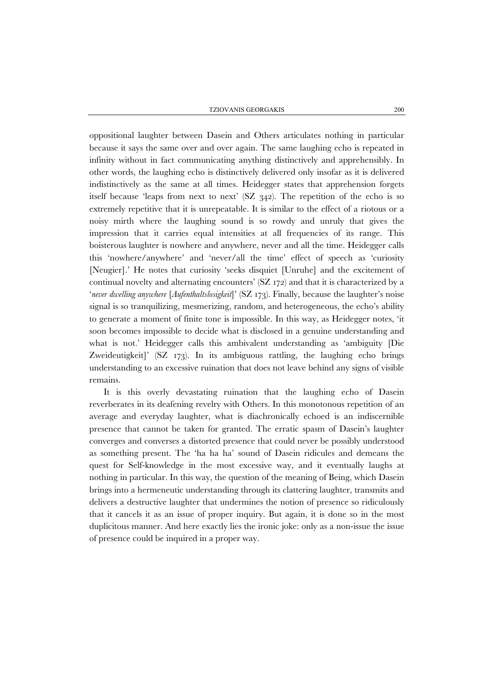oppositional laughter between Dasein and Others articulates nothing in particular because it says the same over and over again. The same laughing echo is repeated in infinity without in fact communicating anything distinctively and apprehensibly. In other words, the laughing echo is distinctively delivered only insofar as it is delivered indistinctively as the same at all times. Heidegger states that apprehension forgets itself because 'leaps from next to next'  $(SZ \t342)$ . The repetition of the echo is so extremely repetitive that it is unrepeatable. It is similar to the effect of a riotous or a noisy mirth where the laughing sound is so rowdy and unruly that gives the impression that it carries equal intensities at all frequencies of its range. This boisterous laughter is nowhere and anywhere, never and all the time. Heidegger calls this 'nowhere/anywhere' and 'never/all the time' effect of speech as 'curiosity [Neugier].' He notes that curiosity 'seeks disquiet [Unruhe] and the excitement of continual novelty and alternating encounters' (SZ 172) and that it is characterized by a '*never dwelling anywhere* [*Aufenthaltslosigkeit*]' (SZ 173). Finally, because the laughter's noise signal is so tranquilizing, mesmerizing, random, and heterogeneous, the echo's ability to generate a moment of finite tone is impossible. In this way, as Heidegger notes, 'it soon becomes impossible to decide what is disclosed in a genuine understanding and what is not.' Heidegger calls this ambivalent understanding as 'ambiguity [Die Zweideutigkeit]' (SZ 173). In its ambiguous rattling, the laughing echo brings understanding to an excessive ruination that does not leave behind any signs of visible remains.

It is this overly devastating ruination that the laughing echo of Dasein reverberates in its deafening revelry with Others. In this monotonous repetition of an average and everyday laughter, what is diachronically echoed is an indiscernible presence that cannot be taken for granted. The erratic spasm of Dasein's laughter converges and converses a distorted presence that could never be possibly understood as something present. The 'ha ha ha' sound of Dasein ridicules and demeans the quest for Self-knowledge in the most excessive way, and it eventually laughs at nothing in particular. In this way, the question of the meaning of Being, which Dasein brings into a hermeneutic understanding through its clattering laughter, transmits and delivers a destructive laughter that undermines the notion of presence so ridiculously that it cancels it as an issue of proper inquiry. But again, it is done so in the most duplicitous manner. And here exactly lies the ironic joke: only as a non-issue the issue of presence could be inquired in a proper way.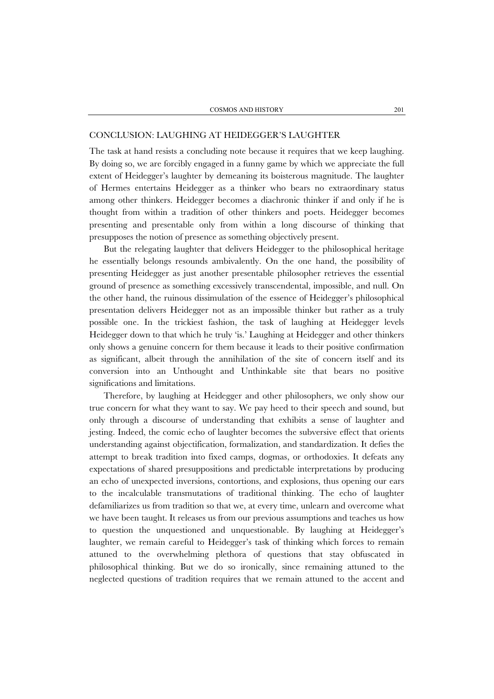## CONCLUSION: LAUGHING AT HEIDEGGER'S LAUGHTER

The task at hand resists a concluding note because it requires that we keep laughing. By doing so, we are forcibly engaged in a funny game by which we appreciate the full extent of Heidegger's laughter by demeaning its boisterous magnitude. The laughter of Hermes entertains Heidegger as a thinker who bears no extraordinary status among other thinkers. Heidegger becomes a diachronic thinker if and only if he is thought from within a tradition of other thinkers and poets. Heidegger becomes presenting and presentable only from within a long discourse of thinking that presupposes the notion of presence as something objectively present.

But the relegating laughter that delivers Heidegger to the philosophical heritage he essentially belongs resounds ambivalently. On the one hand, the possibility of presenting Heidegger as just another presentable philosopher retrieves the essential ground of presence as something excessively transcendental, impossible, and null. On the other hand, the ruinous dissimulation of the essence of Heidegger's philosophical presentation delivers Heidegger not as an impossible thinker but rather as a truly possible one. In the trickiest fashion, the task of laughing at Heidegger levels Heidegger down to that which he truly 'is.' Laughing at Heidegger and other thinkers only shows a genuine concern for them because it leads to their positive confirmation as significant, albeit through the annihilation of the site of concern itself and its conversion into an Unthought and Unthinkable site that bears no positive significations and limitations.

Therefore, by laughing at Heidegger and other philosophers, we only show our true concern for what they want to say. We pay heed to their speech and sound, but only through a discourse of understanding that exhibits a sense of laughter and jesting. Indeed, the comic echo of laughter becomes the subversive effect that orients understanding against objectification, formalization, and standardization. It defies the attempt to break tradition into fixed camps, dogmas, or orthodoxies. It defeats any expectations of shared presuppositions and predictable interpretations by producing an echo of unexpected inversions, contortions, and explosions, thus opening our ears to the incalculable transmutations of traditional thinking. The echo of laughter defamiliarizes us from tradition so that we, at every time, unlearn and overcome what we have been taught. It releases us from our previous assumptions and teaches us how to question the unquestioned and unquestionable. By laughing at Heidegger's laughter, we remain careful to Heidegger's task of thinking which forces to remain attuned to the overwhelming plethora of questions that stay obfuscated in philosophical thinking. But we do so ironically, since remaining attuned to the neglected questions of tradition requires that we remain attuned to the accent and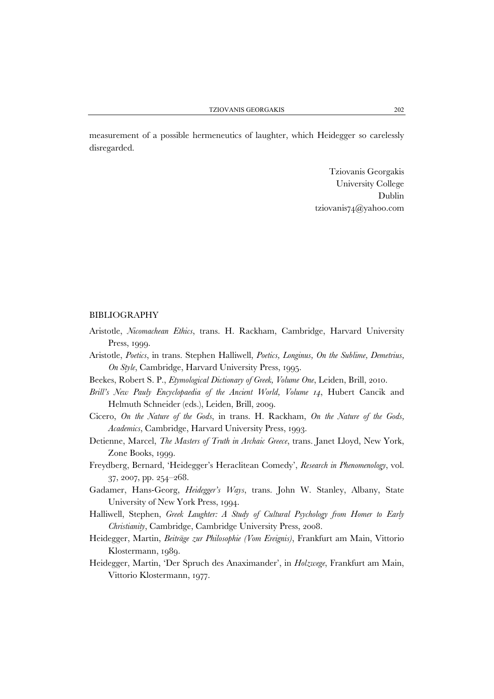measurement of a possible hermeneutics of laughter, which Heidegger so carelessly disregarded.

> Tziovanis Georgakis University College Dublin tziovanis74@yahoo.com

## BIBLIOGRAPHY

- Aristotle, *Nicomachean Ethics*, trans. H. Rackham, Cambridge, Harvard University Press, 1999.
- Aristotle, *Poetics*, in trans. Stephen Halliwell, *Poetics, Longinus, On the Sublime, Demetrius, On Style*, Cambridge, Harvard University Press, 1995.
- Beekes, Robert S. P., *Etymological Dictionary of Greek, Volume One*, Leiden, Brill, 2010.
- *Brill's New Pauly Encyclopaedia of the Ancient World, Volume 14*, Hubert Cancik and Helmuth Schneider (eds.), Leiden, Brill, 2009.
- Cicero, *On the Nature of the Gods*, in trans. H. Rackham, *On the Nature of the Gods, Academics*, Cambridge, Harvard University Press, 1993.
- Detienne, Marcel, *The Masters of Truth in Archaic Greece*, trans. Janet Lloyd, New York, Zone Books, 1999.
- Freydberg, Bernard, 'Heidegger's Heraclitean Comedy', *Research in Phenomenology*, vol. 37, 2007, pp. 254–268.
- Gadamer, Hans-Georg, *Heidegger's Ways*, trans. John W. Stanley, Albany, State University of New York Press, 1994.
- Halliwell, Stephen, *Greek Laughter: A Study of Cultural Psychology from Homer to Early Christianity*, Cambridge, Cambridge University Press, 2008.
- Heidegger, Martin, *Beiträge zur Philosophie (Vom Ereignis)*, Frankfurt am Main, Vittorio Klostermann, 1989.
- Heidegger, Martin, 'Der Spruch des Anaximander', in *Holzwege*, Frankfurt am Main, Vittorio Klostermann, 1977.